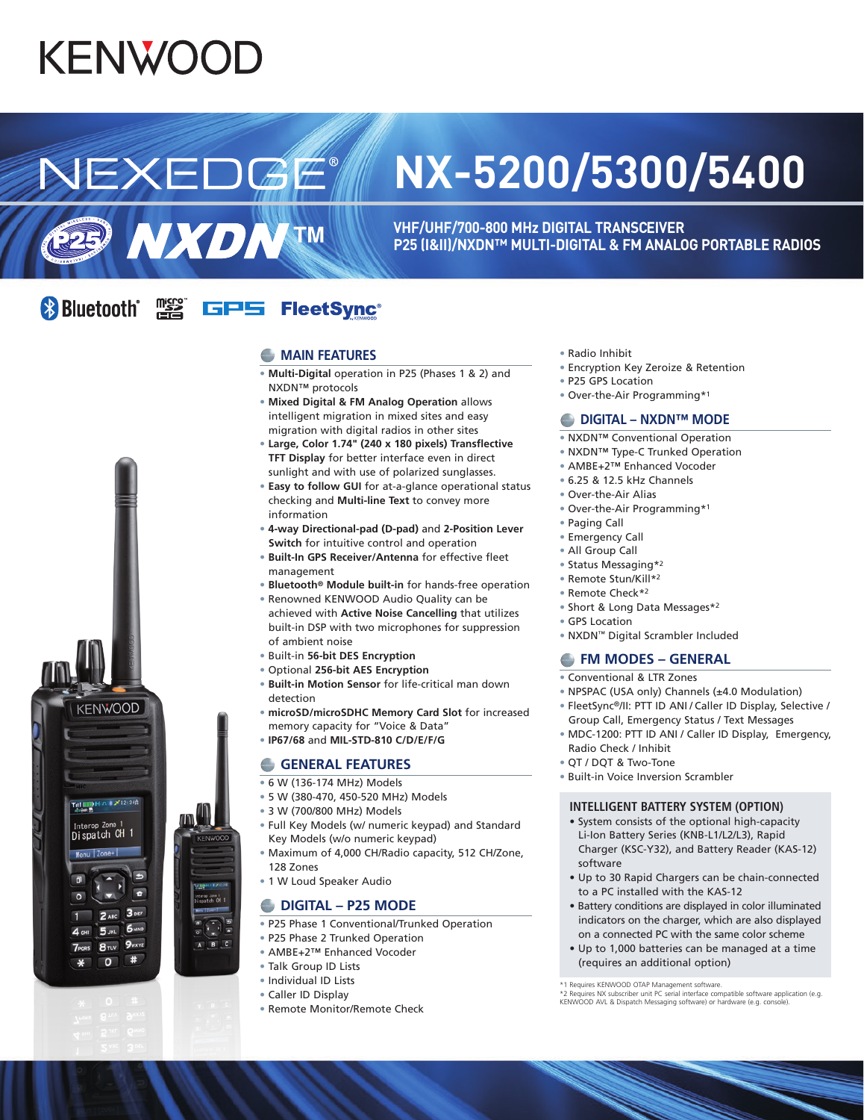# **KENWOOD**

## **NX-5200/5300/5400**

**VHF/UHF/700-800 MHz DIGITAL TRANSCEIVER P25 (I&II)/NXDN™ MULTI-DIGITAL & FM ANALOG PORTABLE RADIOS**

#### **& Bluetooth**\* <u>dasa</u><br>Unicio GPS FleetSync<sup>®</sup>

NEXEDGE

**E29 NXDNTM** 

#### **MAIN FEATURES**

- **Multi-Digital** operation in P25 (Phases 1 & 2) and NXDN™ protocols
- **Mixed Digital & FM Analog Operation** allows intelligent migration in mixed sites and easy migration with digital radios in other sites
- **Large, Color 1.74" (240 x 180 pixels) Transflective TFT Display** for better interface even in direct sunlight and with use of polarized sunglasses.
- **Easy to follow GUI** for at-a-glance operational status checking and **Multi-line Text** to convey more information
- **4-way Directional-pad (D-pad)** and **2-Position Lever Switch** for intuitive control and operation
- **Built-In GPS Receiver/Antenna** for effective fleet management
- **Bluetooth® Module built-in** for hands-free operation
- Renowned KENWOOD Audio Quality can be achieved with **Active Noise Cancelling** that utilizes built-in DSP with two microphones for suppression of ambient noise
- Built-in **56-bit DES Encryption**
- Optional **256-bit AES Encryption**
- **Built-in Motion Sensor** for life-critical man down detection
- **microSD/microSDHC Memory Card Slot** for increased memory capacity for "Voice & Data"
- **IP67/68** and **MIL-STD-810 C/D/E/F/G**

#### **GENERAL FEATURES**

- 6 W (136-174 MHz) Models
- 5 W (380-470, 450-520 MHz) Models
- 3 W (700/800 MHz) Models
- Full Key Models (w/ numeric keypad) and Standard Key Models (w/o numeric keypad)
- Maximum of 4,000 CH/Radio capacity, 512 CH/Zone, 128 Zones
- 1 W Loud Speaker Audio

### **DIGITAL – P25 MODE**

- P25 Phase 1 Conventional/Trunked Operation
- P25 Phase 2 Trunked Operation
- AMBE+2™ Enhanced Vocoder
- Talk Group ID Lists
- Individual ID Lists
- Caller ID Display
- Remote Monitor/Remote Check
- Radio Inhibit
- Encryption Key Zeroize & Retention
- P25 GPS Location
- Over-the-Air Programming\*1

#### **■ DIGITAL – NXDN™ MODE**

- NXDN™ Conventional Operation
- NXDN™ Type-C Trunked Operation
- AMBE+2™ Enhanced Vocoder
- 6.25 & 12.5 kHz Channels
- Over-the-Air Alias
- Over-the-Air Programming\*1
- Paging Call
- Emergency Call
- All Group Call
- Status Messaging\*2
- Remote Stun/Kill\*2
- Remote Check\*2
- Short & Long Data Messages\*2
- GPS Location
- NXDN™ Digital Scrambler Included

### **FM MODES – GENERAL**

- Conventional & LTR Zones
- NPSPAC (USA only) Channels (±4.0 Modulation)
- FleetSync®/II: PTT ID ANI / Caller ID Display, Selective / Group Call, Emergency Status / Text Messages
- MDC-1200: PTT ID ANI / Caller ID Display, Emergency, Radio Check / Inhibit
- QT / DQT & Two-Tone
- Built-in Voice Inversion Scrambler

#### **INTELLIGENT BATTERY SYSTEM (OPTION)**

- System consists of the optional high-capacity Li-Ion Battery Series (KNB-L1/L2/L3), Rapid Charger (KSC-Y32), and Battery Reader (KAS-12) software
- Up to 30 Rapid Chargers can be chain-connected to a PC installed with the KAS-12
- Battery conditions are displayed in color illuminated indicators on the charger, which are also displayed on a connected PC with the same color scheme
- Up to 1,000 batteries can be managed at a time (requires an additional option)



<sup>\*1</sup> Requires KENWOOD OTAP Management software.<br>\*2 Requires NX subscriber unit PC serial interface compatible software application (e.g.<br>KENWOOD AVL & Dispatch Messaging software) or hardware (e.g. console).